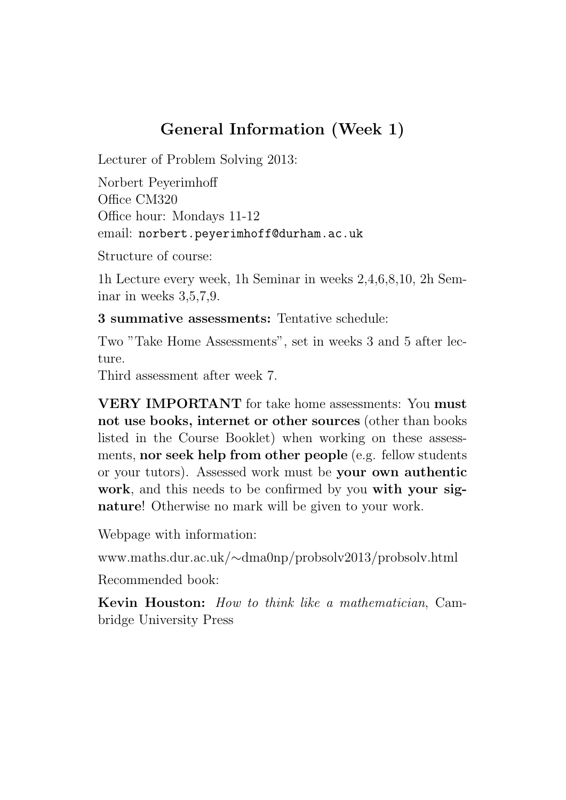## General Information (Week 1)

Lecturer of Problem Solving 2013:

Norbert Peyerimhoff Office CM320 Office hour: Mondays 11-12 email: norbert.peyerimhoff@durham.ac.uk

Structure of course:

1h Lecture every week, 1h Seminar in weeks 2,4,6,8,10, 2h Seminar in weeks 3,5,7,9.

3 summative assessments: Tentative schedule:

Two "Take Home Assessments", set in weeks 3 and 5 after lecture.

Third assessment after week 7.

VERY IMPORTANT for take home assessments: You must not use books, internet or other sources (other than books listed in the Course Booklet) when working on these assessments, nor seek help from other people (e.g. fellow students or your tutors). Assessed work must be your own authentic work, and this needs to be confirmed by you with your signature! Otherwise no mark will be given to your work.

Webpage with information:

www.maths.dur.ac.uk/∼dma0np/probsolv2013/probsolv.html

Recommended book:

Kevin Houston: How to think like a mathematician, Cambridge University Press